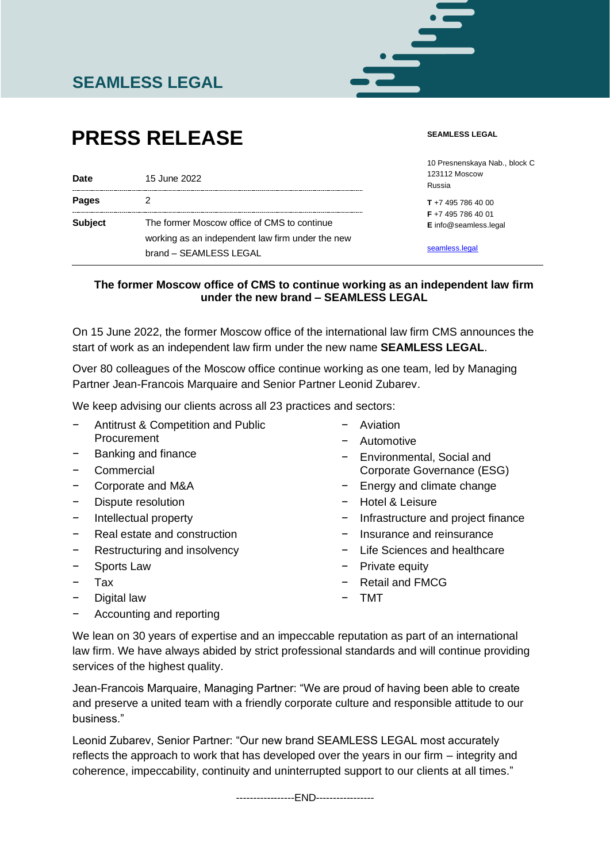

# **PRESS RELEASE**

#### **SEAMLESS LEGAL**

| <b>Date</b>    | 15 June 2022                                                               | 10 Presnenskaya Nab., block C<br><b>123112 Moscow</b><br>Russia |
|----------------|----------------------------------------------------------------------------|-----------------------------------------------------------------|
| <b>Pages</b>   |                                                                            | $T + 74957864000$                                               |
| <b>Subject</b> | The former Moscow office of CMS to continue                                | $F + 74957864001$<br>E info@seamless.legal                      |
|                | working as an independent law firm under the new<br>brand - SEAMLESS LEGAL | seamless.legal                                                  |

# **The former Moscow office of CMS to continue working as an independent law firm under the new brand – SEAMLESS LEGAL**

On 15 June 2022, the former Moscow office of the international law firm CMS announces the start of work as an independent law firm under the new name **SEAMLESS LEGAL**.

Over 80 colleagues of the Moscow office continue working as one team, led by Managing Partner Jean-Francois Marquaire and Senior Partner Leonid Zubarev.

We keep advising our clients across all 23 practices and sectors:

- − Antitrust & Competition and Public **Procurement**
- Banking and finance
- − Commercial
- − Corporate and M&A
- Dispute resolution
- − Intellectual property
- Real estate and construction
- Restructuring and insolvency
- − Sports Law
- − Tax
- Digital law

− Automotive

− Aviation

- − Environmental, Social and Corporate Governance (ESG)
- − Energy and climate change
- − Hotel & Leisure
- − Infrastructure and project finance
- − Insurance and reinsurance
- − Life Sciences and healthcare
- − Private equity
- − Retail and FMCG
- − TMT

− Accounting and reporting

We lean on 30 years of expertise and an impeccable reputation as part of an international law firm. We have always abided by strict professional standards and will continue providing services of the highest quality.

Jean-Francois Marquaire, Managing Partner: "We are proud of having been able to create and preserve a united team with a friendly corporate culture and responsible attitude to our business."

Leonid Zubarev, Senior Partner: "Our new brand SEAMLESS LEGAL most accurately reflects the approach to work that has developed over the years in our firm – integrity and coherence, impeccability, continuity and uninterrupted support to our clients at all times."

-----------------END-----------------